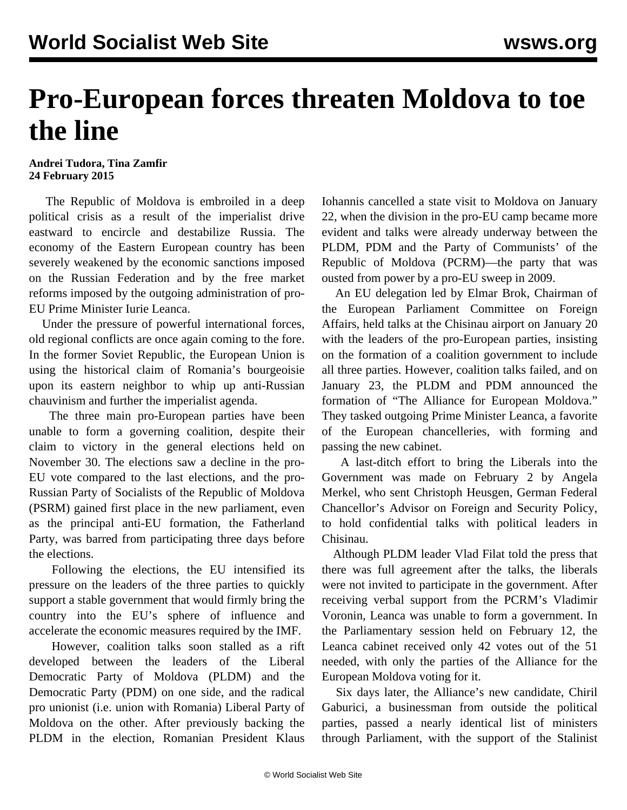## **Pro-European forces threaten Moldova to toe the line**

## **Andrei Tudora, Tina Zamfir 24 February 2015**

 The Republic of Moldova is embroiled in a deep political crisis as a result of the imperialist drive eastward to encircle and destabilize Russia. The economy of the Eastern European country has been severely weakened by the economic sanctions imposed on the Russian Federation and by the free market reforms imposed by the outgoing administration of pro-EU Prime Minister Iurie Leanca.

 Under the pressure of powerful international forces, old regional conflicts are once again coming to the fore. In the former Soviet Republic, the European Union is using the historical claim of Romania's bourgeoisie upon its eastern neighbor to whip up anti-Russian chauvinism and further the imperialist agenda.

 The three main pro-European parties have been unable to form a governing coalition, despite their claim to victory in the general elections held on November 30. The elections saw a decline in the pro-EU vote compared to the last elections, and the pro-Russian Party of Socialists of the Republic of Moldova (PSRM) gained first place in the new parliament, even as the principal anti-EU formation, the Fatherland Party, was barred from participating three days before the elections.

 Following the elections, the EU intensified its pressure on the leaders of the three parties to quickly support a stable government that would firmly bring the country into the EU's sphere of influence and accelerate the economic measures required by the IMF.

 However, coalition talks soon stalled as a rift developed between the leaders of the Liberal Democratic Party of Moldova (PLDM) and the Democratic Party (PDM) on one side, and the radical pro unionist (i.e. union with Romania) Liberal Party of Moldova on the other. After previously backing the PLDM in the election, Romanian President Klaus Iohannis cancelled a state visit to Moldova on January 22, when the division in the pro-EU camp became more evident and talks were already underway between the PLDM, PDM and the Party of Communists' of the Republic of Moldova (PCRM)—the party that was ousted from power by a pro-EU sweep in 2009.

 An EU delegation led by Elmar Brok, Chairman of the European Parliament Committee on Foreign Affairs, held talks at the Chisinau airport on January 20 with the leaders of the pro-European parties, insisting on the formation of a coalition government to include all three parties. However, coalition talks failed, and on January 23, the PLDM and PDM announced the formation of "The Alliance for European Moldova." They tasked outgoing Prime Minister Leanca, a favorite of the European chancelleries, with forming and passing the new cabinet.

 A last-ditch effort to bring the Liberals into the Government was made on February 2 by Angela Merkel, who sent Christoph Heusgen, German Federal Chancellor's Advisor on Foreign and Security Policy, to hold confidential talks with political leaders in Chisinau.

 Although PLDM leader Vlad Filat told the press that there was full agreement after the talks, the liberals were not invited to participate in the government. After receiving verbal support from the PCRM's Vladimir Voronin, Leanca was unable to form a government. In the Parliamentary session held on February 12, the Leanca cabinet received only 42 votes out of the 51 needed, with only the parties of the Alliance for the European Moldova voting for it.

 Six days later, the Alliance's new candidate, Chiril Gaburici, a businessman from outside the political parties, passed a nearly identical list of ministers through Parliament, with the support of the Stalinist